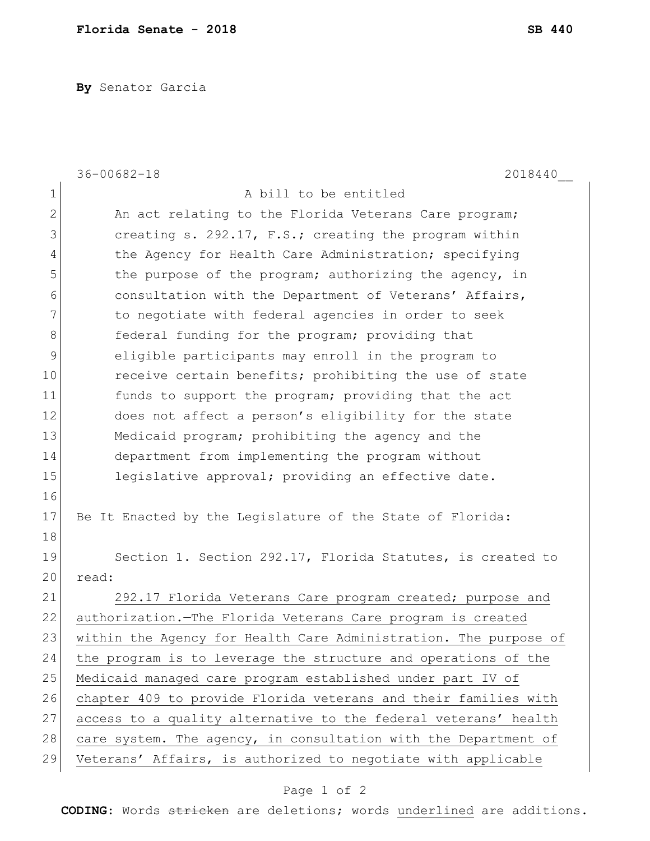**By** Senator Garcia

|                | $36 - 00682 - 18$<br>2018440                                     |
|----------------|------------------------------------------------------------------|
| $\mathbf 1$    | A bill to be entitled                                            |
| $\overline{2}$ | An act relating to the Florida Veterans Care program;            |
| 3              | creating s. 292.17, F.S.; creating the program within            |
| 4              | the Agency for Health Care Administration; specifying            |
| 5              | the purpose of the program; authorizing the agency, in           |
| 6              | consultation with the Department of Veterans' Affairs,           |
| 7              | to negotiate with federal agencies in order to seek              |
| $\,8\,$        | federal funding for the program; providing that                  |
| 9              | eligible participants may enroll in the program to               |
| 10             | receive certain benefits; prohibiting the use of state           |
| 11             | funds to support the program; providing that the act             |
| 12             | does not affect a person's eligibility for the state             |
| 13             | Medicaid program; prohibiting the agency and the                 |
| 14             | department from implementing the program without                 |
| 15             | legislative approval; providing an effective date.               |
| 16             |                                                                  |
| 17             | Be It Enacted by the Legislature of the State of Florida:        |
| 18             |                                                                  |
| 19             | Section 1. Section 292.17, Florida Statutes, is created to       |
| 20             | read:                                                            |
| 21             | 292.17 Florida Veterans Care program created; purpose and        |
| 22             | authorization. The Florida Veterans Care program is created      |
| 23             | within the Agency for Health Care Administration. The purpose of |
| 24             | the program is to leverage the structure and operations of the   |
| 25             | Medicaid managed care program established under part IV of       |
| 26             | chapter 409 to provide Florida veterans and their families with  |
| 27             | access to a quality alternative to the federal veterans' health  |
| 28             | care system. The agency, in consultation with the Department of  |
| 29             | Veterans' Affairs, is authorized to negotiate with applicable    |

## Page 1 of 2

**CODING**: Words stricken are deletions; words underlined are additions.